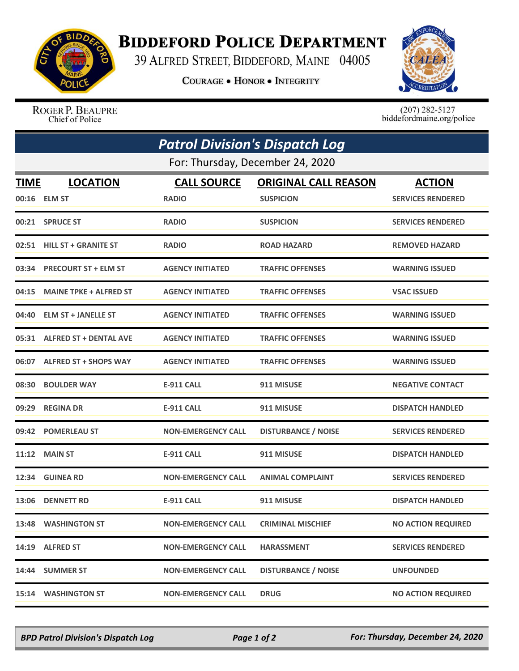

## **BIDDEFORD POLICE DEPARTMENT**

39 ALFRED STREET, BIDDEFORD, MAINE 04005

**COURAGE . HONOR . INTEGRITY** 



ROGER P. BEAUPRE Chief of Police

 $(207)$  282-5127<br>biddefordmaine.org/police

| <b>Patrol Division's Dispatch Log</b><br>For: Thursday, December 24, 2020 |                               |                           |                            |                           |  |  |
|---------------------------------------------------------------------------|-------------------------------|---------------------------|----------------------------|---------------------------|--|--|
|                                                                           |                               |                           |                            |                           |  |  |
|                                                                           | 00:16 ELM ST                  | <b>RADIO</b>              | <b>SUSPICION</b>           | <b>SERVICES RENDERED</b>  |  |  |
|                                                                           | 00:21 SPRUCE ST               | <b>RADIO</b>              | <b>SUSPICION</b>           | <b>SERVICES RENDERED</b>  |  |  |
| 02:51                                                                     | <b>HILL ST + GRANITE ST</b>   | <b>RADIO</b>              | <b>ROAD HAZARD</b>         | <b>REMOVED HAZARD</b>     |  |  |
|                                                                           | 03:34 PRECOURT ST + ELM ST    | <b>AGENCY INITIATED</b>   | <b>TRAFFIC OFFENSES</b>    | <b>WARNING ISSUED</b>     |  |  |
| 04:15                                                                     | <b>MAINE TPKE + ALFRED ST</b> | <b>AGENCY INITIATED</b>   | <b>TRAFFIC OFFENSES</b>    | <b>VSAC ISSUED</b>        |  |  |
|                                                                           | 04:40 ELM ST + JANELLE ST     | <b>AGENCY INITIATED</b>   | <b>TRAFFIC OFFENSES</b>    | <b>WARNING ISSUED</b>     |  |  |
|                                                                           | 05:31 ALFRED ST + DENTAL AVE  | <b>AGENCY INITIATED</b>   | <b>TRAFFIC OFFENSES</b>    | <b>WARNING ISSUED</b>     |  |  |
|                                                                           | 06:07 ALFRED ST + SHOPS WAY   | <b>AGENCY INITIATED</b>   | <b>TRAFFIC OFFENSES</b>    | <b>WARNING ISSUED</b>     |  |  |
| 08:30                                                                     | <b>BOULDER WAY</b>            | <b>E-911 CALL</b>         | 911 MISUSE                 | <b>NEGATIVE CONTACT</b>   |  |  |
| 09:29                                                                     | <b>REGINA DR</b>              | <b>E-911 CALL</b>         | 911 MISUSE                 | <b>DISPATCH HANDLED</b>   |  |  |
|                                                                           | 09:42 POMERLEAU ST            | <b>NON-EMERGENCY CALL</b> | <b>DISTURBANCE / NOISE</b> | <b>SERVICES RENDERED</b>  |  |  |
| 11:12                                                                     | <b>MAIN ST</b>                | <b>E-911 CALL</b>         | 911 MISUSE                 | <b>DISPATCH HANDLED</b>   |  |  |
|                                                                           | 12:34 GUINEA RD               | <b>NON-EMERGENCY CALL</b> | <b>ANIMAL COMPLAINT</b>    | <b>SERVICES RENDERED</b>  |  |  |
| 13:06                                                                     | <b>DENNETT RD</b>             | <b>E-911 CALL</b>         | 911 MISUSE                 | <b>DISPATCH HANDLED</b>   |  |  |
|                                                                           | 13:48 WASHINGTON ST           | <b>NON-EMERGENCY CALL</b> | <b>CRIMINAL MISCHIEF</b>   | <b>NO ACTION REQUIRED</b> |  |  |
|                                                                           | 14:19 ALFRED ST               | <b>NON-EMERGENCY CALL</b> | <b>HARASSMENT</b>          | <b>SERVICES RENDERED</b>  |  |  |
| 14:44                                                                     | <b>SUMMER ST</b>              | <b>NON-EMERGENCY CALL</b> | <b>DISTURBANCE / NOISE</b> | <b>UNFOUNDED</b>          |  |  |
|                                                                           | <b>15:14 WASHINGTON ST</b>    | <b>NON-EMERGENCY CALL</b> | <b>DRUG</b>                | <b>NO ACTION REQUIRED</b> |  |  |